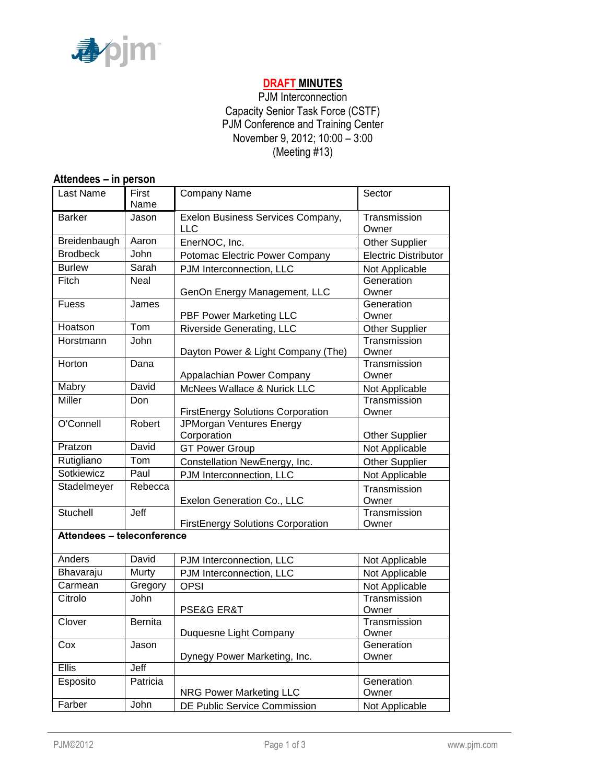

# **DRAFT MINUTES**

PJM Interconnection Capacity Senior Task Force (CSTF) PJM Conference and Training Center November 9, 2012; 10:00 – 3:00 (Meeting #13)

| Attendees - in person      |                |                                                 |                             |  |  |  |
|----------------------------|----------------|-------------------------------------------------|-----------------------------|--|--|--|
| Last Name                  | First<br>Name  | Company Name                                    | Sector                      |  |  |  |
| <b>Barker</b>              | Jason          | Exelon Business Services Company,<br><b>LLC</b> | Transmission<br>Owner       |  |  |  |
| Breidenbaugh               | Aaron          | EnerNOC, Inc.                                   | <b>Other Supplier</b>       |  |  |  |
| <b>Brodbeck</b>            | John           | Potomac Electric Power Company                  | <b>Electric Distributor</b> |  |  |  |
| <b>Burlew</b>              | Sarah          | PJM Interconnection, LLC                        | Not Applicable              |  |  |  |
| Fitch                      | <b>Neal</b>    | GenOn Energy Management, LLC                    | Generation<br>Owner         |  |  |  |
| <b>Fuess</b>               | James          | PBF Power Marketing LLC                         | Generation<br>Owner         |  |  |  |
| Hoatson                    | Tom            | Riverside Generating, LLC                       | <b>Other Supplier</b>       |  |  |  |
| Horstmann                  | John           | Dayton Power & Light Company (The)              | Transmission<br>Owner       |  |  |  |
| Horton                     | Dana           | Appalachian Power Company                       | Transmission<br>Owner       |  |  |  |
| Mabry                      | David          | McNees Wallace & Nurick LLC                     | Not Applicable              |  |  |  |
| Miller                     | Don            | <b>FirstEnergy Solutions Corporation</b>        | Transmission<br>Owner       |  |  |  |
| O'Connell                  | Robert         | JPMorgan Ventures Energy<br>Corporation         | <b>Other Supplier</b>       |  |  |  |
| Pratzon                    | David          | <b>GT Power Group</b>                           | Not Applicable              |  |  |  |
| Rutigliano                 | Tom            | Constellation NewEnergy, Inc.                   | <b>Other Supplier</b>       |  |  |  |
| Sotkiewicz                 | Paul           | PJM Interconnection, LLC                        | Not Applicable              |  |  |  |
| Stadelmeyer                | Rebecca        | Exelon Generation Co., LLC                      | Transmission<br>Owner       |  |  |  |
| Stuchell                   | Jeff           | <b>FirstEnergy Solutions Corporation</b>        | Transmission<br>Owner       |  |  |  |
| Attendees - teleconference |                |                                                 |                             |  |  |  |
| Anders                     | David          | PJM Interconnection, LLC                        | Not Applicable              |  |  |  |
| Bhavaraju                  | Murty          | PJM Interconnection, LLC                        | Not Applicable              |  |  |  |
| Carmean                    | Gregory        | <b>OPSI</b>                                     | Not Applicable              |  |  |  |
| Citrolo                    | John           | <b>PSE&amp;G ER&amp;T</b>                       | Transmission<br>Owner       |  |  |  |
| Clover                     | <b>Bernita</b> | Duquesne Light Company                          | Transmission<br>Owner       |  |  |  |
| Cox                        | Jason          | Dynegy Power Marketing, Inc.                    | Generation<br>Owner         |  |  |  |
| <b>Ellis</b>               | Jeff           |                                                 |                             |  |  |  |
| Esposito                   | Patricia       | <b>NRG Power Marketing LLC</b>                  | Generation<br>Owner         |  |  |  |
| Farber                     | John           | DE Public Service Commission                    | Not Applicable              |  |  |  |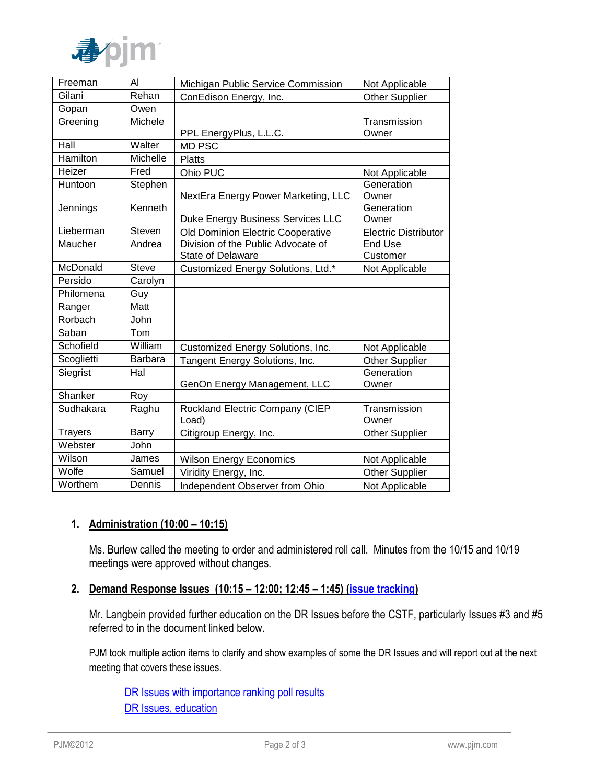

| Freeman         | Al              | Michigan Public Service Commission               | Not Applicable              |
|-----------------|-----------------|--------------------------------------------------|-----------------------------|
| Gilani          | Rehan           | ConEdison Energy, Inc.                           | <b>Other Supplier</b>       |
| Gopan           | Owen            |                                                  |                             |
| Greening        | Michele         |                                                  | Transmission                |
|                 |                 | PPL EnergyPlus, L.L.C.                           | Owner                       |
| Hall            | Walter          | <b>MD PSC</b>                                    |                             |
| <b>Hamilton</b> | <b>Michelle</b> | <b>Platts</b>                                    |                             |
| Heizer          | Fred            | Ohio PUC                                         | Not Applicable              |
| Huntoon         | Stephen         |                                                  | Generation                  |
|                 |                 | NextEra Energy Power Marketing, LLC              | Owner                       |
| Jennings        | Kenneth         |                                                  | Generation                  |
|                 |                 | Duke Energy Business Services LLC                | Owner                       |
| Lieberman       | Steven          | Old Dominion Electric Cooperative                | <b>Electric Distributor</b> |
| Maucher         | Andrea          | Division of the Public Advocate of               | <b>End Use</b>              |
|                 |                 | <b>State of Delaware</b>                         | Customer                    |
| McDonald        | <b>Steve</b>    | Customized Energy Solutions, Ltd.*               | Not Applicable              |
| Persido         | Carolyn         |                                                  |                             |
| Philomena       | Guy             |                                                  |                             |
| Ranger          | Matt            |                                                  |                             |
| Rorbach         | John            |                                                  |                             |
| Saban           | Tom             |                                                  |                             |
| Schofield       | William         | Customized Energy Solutions, Inc.                | Not Applicable              |
| Scoglietti      | Barbara         | Tangent Energy Solutions, Inc.                   | <b>Other Supplier</b>       |
| Siegrist        | Hal             |                                                  | Generation                  |
|                 |                 | GenOn Energy Management, LLC                     | Owner                       |
| Shanker         | Roy             |                                                  |                             |
| Sudhakara       | Raghu           | Rockland Electric Company (CIEP<br>Load)         | Transmission<br>Owner       |
| <b>Trayers</b>  | <b>Barry</b>    | Citigroup Energy, Inc.                           | <b>Other Supplier</b>       |
| Webster         | John            |                                                  |                             |
| Wilson          | James           | <b>Wilson Energy Economics</b>                   | Not Applicable              |
| Wolfe           | Samuel          | Viridity Energy, Inc.                            | <b>Other Supplier</b>       |
| Worthem         | Dennis          | Independent Observer from Ohio<br>Not Applicable |                             |

# **1. Administration (10:00 – 10:15)**

Ms. Burlew called the meeting to order and administered roll call. Minutes from the 10/15 and 10/19 meetings were approved without changes.

### **2. Demand Response Issues (10:15 – 12:00; 12:45 – 1:45) [\(issue tracking\)](http://www.pjm.com/committees-and-groups/issue-tracking/issue-tracking-details.aspx?Issue=%7b4777F504-03E3-4293-AF53-9AE91A2AB0A6%7d)**

Mr. Langbein provided further education on the DR Issues before the CSTF, particularly Issues #3 and #5 referred to in the document linked below.

PJM took multiple action items to clarify and show examples of some the DR Issues and will report out at the next meeting that covers these issues.

[DR Issues with importance ranking poll results](http://www.pjm.com/~/media/committees-groups/task-forces/cstf/20120920/20120920-dr-issues-important-ranking-poll-results.ashx) [DR Issues, education](http://www.pjm.com/~/media/committees-groups/task-forces/cstf/20121109/20121109-item-02-dr-issues.ashx)